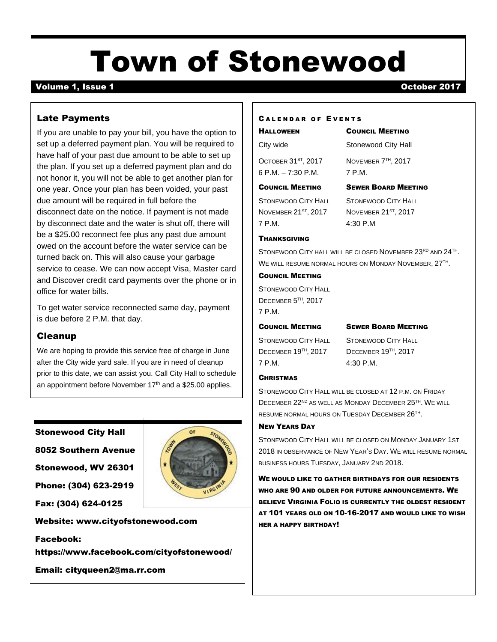# Town of Stonewood

## Volume 1, Issue 1 October 2017

## Late Payments

If you are unable to pay your bill, you have the option to set up a deferred payment plan. You will be required to have half of your past due amount to be able to set up the plan. If you set up a deferred payment plan and do not honor it, you will not be able to get another plan for one year. Once your plan has been voided, your past due amount will be required in full before the disconnect date on the notice. If payment is not made by disconnect date and the water is shut off, there will be a \$25.00 reconnect fee plus any past due amount owed on the account before the water service can be turned back on. This will also cause your garbage service to cease. We can now accept Visa, Master card and Discover credit card payments over the phone or in office for water bills.

To get water service reconnected same day, payment is due before 2 P.M. that day.

#### Cleanup

We are hoping to provide this service free of charge in June after the City wide yard sale. If you are in need of cleanup prior to this date, we can assist you. Call City Hall to schedule an appointment before November  $17<sup>th</sup>$  and a \$25.00 applies.

OF

#### Stonewood City Hall

8052 Southern Avenue

Stonewood, WV 26301

Phone: (304) 623-2919



Website: [www.cityofstonewood.com](http://www.cityofstonewood.com/)

Facebook:

https://www.facebook.com/cityofstonewood/

Email: [cityqueen2@ma.rr.com](mailto:cityqueen2@ma.rr.com)

#### CALENDAR OF EVENTS

# HALLOWEEN COUNCIL MEETING

City wide Stonewood City Hall OCTOBER 31<sup>ST</sup>, 2017 6 P.M. – 7:30 P.M. 7 P.M.

, 2017 NOVEMBER 7 TH , 2017

#### COUNCIL MEETING SEWER BOARD MEETING

NOVEMBER 21ST, 2017 7 P.M. 4:30 P.M

STONEWOOD CITY HALL STONEWOOD CITY HALL , 2017 NOVEMBER 21ST , 2017

#### **THANKSGIVING**

STONEWOOD CITY HALL WILL BE CLOSED NOVEMBER 23RD AND 24TH. WE WILL RESUME NORMAL HOURS ON MONDAY NOVEMBER, 27TH .

#### COUNCIL MEETING

STONEWOOD CITY HALL DECEMBER 5<sup>TH</sup>, 2017 7 P.M.

#### COUNCIL MEETING SEWER BOARD MEETING

DECEMBER 19<sup>TH</sup>, 2017 7 P.M. 4:30 P.M.

STONEWOOD CITY HALL STONEWOOD CITY HALL , 2017 DECEMBER 19TH , 2017

#### **CHRISTMAS**

STONEWOOD CITY HALL WILL BE CLOSED AT 12 P.M. ON FRIDAY DECEMBER 22<sup>ND</sup> AS WELL AS MONDAY DECEMBER 25<sup>TH</sup>. WE WILL RESUME NORMAL HOURS ON TUESDAY DECEMBER 26<sup>TH</sup>.

#### NEW YEARS DAY

STONEWOOD CITY HALL WILL BE CLOSED ON MONDAY JANUARY 1ST 2018 IN OBSERVANCE OF NEW YEAR'S DAY. WE WILL RESUME NORMAL BUSINESS HOURS TUESDAY, JANUARY 2ND 2018.

WE WOULD LIKE TO GATHER BIRTHDAYS FOR OUR RESIDENTS WHO ARE 90 AND OLDER FOR FUTURE ANNOUNCEMENTS. WE BELIEVE VIRGINIA FOLIO IS CURRENTLY THE OLDEST RESIDENT AT 101 YEARS OLD ON 10-16-2017 AND WOULD LIKE TO WISH HER A HAPPY BIRTHDAY!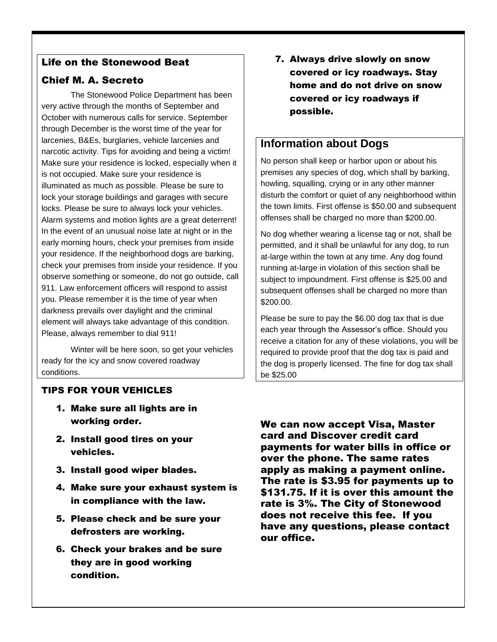# Life on the Stonewood Beat

# Chief M. A. Secreto

The Stonewood Police Department has been very active through the months of September and October with numerous calls for service. September through December is the worst time of the year for larcenies, B&Es, burglaries, vehicle larcenies and narcotic activity. Tips for avoiding and being a victim! Make sure your residence is locked, especially when it is not occupied. Make sure your residence is illuminated as much as possible. Please be sure to lock your storage buildings and garages with secure locks. Please be sure to always lock your vehicles. Alarm systems and motion lights are a great deterrent! In the event of an unusual noise late at night or in the early morning hours, check your premises from inside your residence. If the neighborhood dogs are barking, check your premises from inside your residence. If you observe something or someone, do not go outside, call 911. Law enforcement officers will respond to assist you. Please remember it is the time of year when darkness prevails over daylight and the criminal element will always take advantage of this condition. Please, always remember to dial 911!

Winter will be here soon, so get your vehicles ready for the icy and snow covered roadway conditions.

7. Always drive slowly on snow covered or icy roadways. Stay home and do not drive on snow covered or icy roadways if possible.

# **Information about Dogs**

No person shall keep or harbor upon or about his premises any species of dog, which shall by barking, howling, squalling, crying or in any other manner disturb the comfort or quiet of any neighborhood within the town limits. First offense is \$50.00 and subsequent offenses shall be charged no more than \$200.00.

No dog whether wearing a license tag or not, shall be permitted, and it shall be unlawful for any dog, to run at-large within the town at any time. Any dog found running at-large in violation of this section shall be subject to impoundment. First offense is \$25.00 and subsequent offenses shall be charged no more than \$200.00.

Please be sure to pay the \$6.00 dog tax that is due each year through the Assessor's office. Should you receive a citation for any of these violations, you will be required to provide proof that the dog tax is paid and the dog is properly licensed. The fine for dog tax shall be \$25.00

# TIPS FOR YOUR VEHICLES

- 1. Make sure all lights are in working order.
- 2. Install good tires on your vehicles.
- 3. Install good wiper blades.
- 4. Make sure your exhaust system is in compliance with the law.
- 5. Please check and be sure your defrosters are working.
- 6. Check your brakes and be sure they are in good working condition.

We can now accept Visa, Master card and Discover credit card payments for water bills in office or over the phone. The same rates apply as making a payment online. The rate is \$3.95 for payments up to \$131.75. If it is over this amount the rate is 3%. The City of Stonewood does not receive this fee. If you have any questions, please contact our office.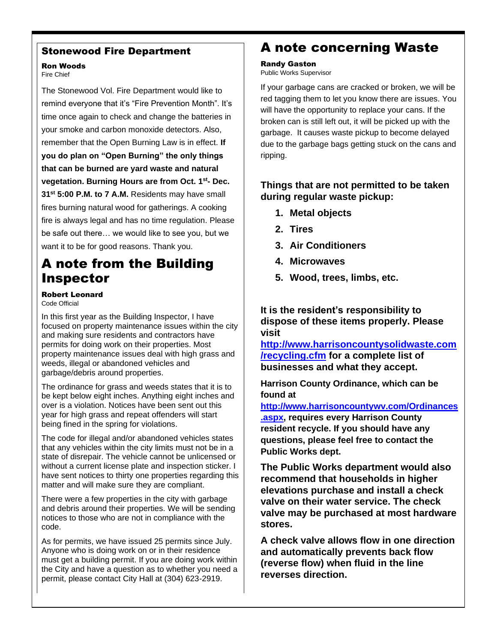## Stonewood Fire Department

#### Ron Woods Fire Chief

The Stonewood Vol. Fire Department would like to remind everyone that it's "Fire Prevention Month". It's time once again to check and change the batteries in your smoke and carbon monoxide detectors. Also, remember that the Open Burning Law is in effect. **If you do plan on "Open Burning" the only things that can be burned are yard waste and natural vegetation. Burning Hours are from Oct. 1st - Dec. 31st 5:00 P.M. to 7 A.M.** Residents may have small fires burning natural wood for gatherings. A cooking fire is always legal and has no time regulation. Please be safe out there… we would like to see you, but we want it to be for good reasons. Thank you.

# A note from the Building Inspector

Robert Leonard Code Official

In this first year as the Building Inspector, I have focused on property maintenance issues within the city and making sure residents and contractors have permits for doing work on their properties. Most property maintenance issues deal with high grass and weeds, illegal or abandoned vehicles and garbage/debris around properties.

The ordinance for grass and weeds states that it is to be kept below eight inches. Anything eight inches and over is a violation. Notices have been sent out this year for high grass and repeat offenders will start being fined in the spring for violations.

The code for illegal and/or abandoned vehicles states that any vehicles within the city limits must not be in a state of disrepair. The vehicle cannot be unlicensed or without a current license plate and inspection sticker. I have sent notices to thirty one properties regarding this matter and will make sure they are compliant.

There were a few properties in the city with garbage and debris around their properties. We will be sending notices to those who are not in compliance with the code.

As for permits, we have issued 25 permits since July. Anyone who is doing work on or in their residence must get a building permit. If you are doing work within the City and have a question as to whether you need a permit, please contact City Hall at (304) 623-2919.

# A note concerning Waste

# Randy Gaston

Public Works Supervisor

If your garbage cans are cracked or broken, we will be red tagging them to let you know there are issues. You will have the opportunity to replace your cans. If the broken can is still left out, it will be picked up with the garbage. It causes waste pickup to become delayed due to the garbage bags getting stuck on the cans and ripping.

## **Things that are not permitted to be taken during regular waste pickup:**

- **1. Metal objects**
- **2. Tires**
- **3. Air Conditioners**
- **4. Microwaves**
- **5. Wood, trees, limbs, etc.**

**It is the resident's responsibility to dispose of these items properly. Please visit** 

**[http://www.harrisoncountysolidwaste.com](http://www.harrisoncountysolidwaste.com/recycling.cfm) [/recycling.cfm](http://www.harrisoncountysolidwaste.com/recycling.cfm) for a complete list of businesses and what they accept.** 

**Harrison County Ordinance, which can be found at** 

**[http://www.harrisoncountywv.com/Ordinances](http://www.harrisoncountywv.com/Ordinances.aspx) [.aspx,](http://www.harrisoncountywv.com/Ordinances.aspx) requires every Harrison County resident recycle. If you should have any questions, please feel free to contact the Public Works dept.** 

**The Public Works department would also recommend that households in higher elevations purchase and install a check valve on their water service. The check valve may be purchased at most hardware stores.**

**A check valve allows flow in one direction and automatically prevents back flow (reverse flow) when fluid in the line reverses direction.**

*Please report water breaks to City Hall or call 911.*